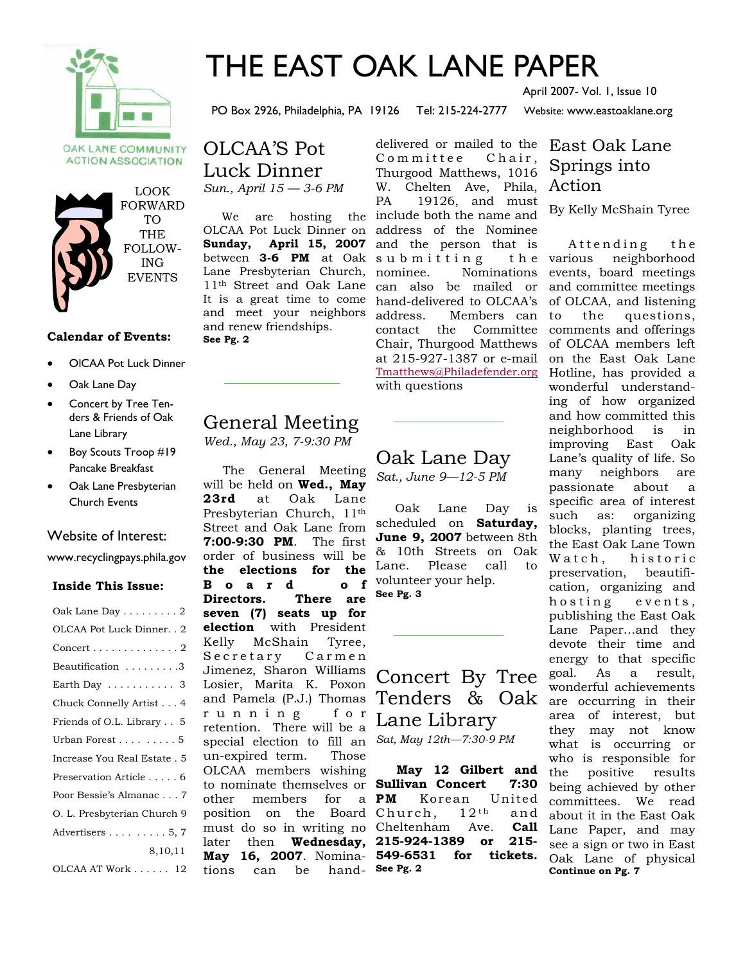

## THE EAST OAK LANE PAPER

PO Box 2926, Philadelphia, PA 19126 Tel: 215-224-2777 Website: www.eastoaklane.org

April 2007- Vol. 1, Issue 10

OAK LANE COMMUNITY **ACTION ASSOCIATION** 



#### **Calendar of Events:**

- OlCAA Pot Luck Dinner
- Oak Lane Day
- Concert by Tree Tenders & Friends of Oak Lane Library
- Boy Scouts Troop #19 Pancake Breakfast
- Oak Lane Presbyterian Church Events

#### Website of Interest:

www.recyclingpays.phila.gov

#### **Inside This Issue:**

| Oak Lane Day $\dots \dots 2$               |
|--------------------------------------------|
| OLCAA Pot Luck Dinner. . 2                 |
| $\text{Concert}\dots\dots\dots\dots\dots2$ |
| $Beautification$ 3                         |
| Earth Day $\dots\dots\dots\dots$ 3         |
| Chuck Connelly Artist 4                    |
| Friends of O.L. Library 5                  |
| Urban Forest 5                             |
| Increase You Real Estate . 5               |
| Preservation Article 6                     |
| Poor Bessie's Almanac 7                    |
| O. L. Presbyterian Church 9                |
| Advertisers $\ldots \ldots \ldots 5, 7$    |
| 8,10,11                                    |
| OLCAA AT Work 12                           |

OLCAA'S Pot Luck Dinner *Sun., April 15 — 3-6 PM* 

**Sunday, April 15, 2007**  Lane Presbyterian Church, It is a great time to come and meet your neighbors and renew friendships. **See Pg. 2** 

### General Meeting *Wed., May 23, 7-9:30 PM*

 The General Meeting will be held on **Wed., May 23rd** at Oak Lane Presbyterian Church, 11th Street and Oak Lane from **7:00-9:30 PM**. The first order of business will be **the elections for the B o a r d o f Directors. There are seven (7) seats up for election** with President Kelly McShain Tyree, Secretary Carmen Jimenez, Sharon Williams Losier, Marita K. Poxon and Pamela (P.J.) Thomas r u n n i n g f o r retention. There will be a special election to fill an un-expired term. Those OLCAA members wishing other members for a PM later then **Wednesday, 215-924-1389 or 215** tions can be

 We are hosting the include both the name and OLCAA Pot Luck Dinner on address of the Nominee between **3-6 PM** at Oak submitting the 11th Street and Oak Lane can also be mailed or delivered or mailed to the East Oak Lane Committee Chair, Thurgood Matthews, 1016 W. Chelten Ave, Phila, Action PA 19126, and must and the person that is nominee. Nominations hand-delivered to OLCAA's address. Members can contact the Committee Chair, Thurgood Matthews at 215-927-1387 or e-mail Tmatthews@Philadefender.org with questions

### Oak Lane Day

*Sat., June 9—12-5 PM* 

 Oak Lane Day is scheduled on **Saturday, June 9, 2007** between 8th & 10th Streets on Oak Lane. Please call to volunteer your help. **See Pg. 3** 

### Concert By Tree Tenders & Oak Lane Library *Sat, May 12th—7:30-9 PM*

to nominate themselves or **Sullivan Concert 7:30**  position on the Board Church, 12<sup>th</sup> and must do so in writing no Cheltenham Ave. **Call May 16, 2007**. Nomina-**549-6531 for tickets. May 12 Gilbert and PM** Korean United **See Pg. 2**

# Springs into

By Kelly McShain Tyree

Attending the various neighborhood events, board meetings and committee meetings of OLCAA, and listening to the questions, comments and offerings of OLCAA members left on the East Oak Lane Hotline, has provided a wonderful understanding of how organized and how committed this neighborhood is in improving East Oak Lane's quality of life. So many neighbors are passionate about a specific area of interest such as: organizing blocks, planting trees, the East Oak Lane Town Watch, historic preservation, beautification, organizing and hosting events, publishing the East Oak Lane Paper…and they devote their time and energy to that specific goal. As a result, wonderful achievements are occurring in their area of interest, but they may not know what is occurring or who is responsible for the positive results being achieved by other committees. We read about it in the East Oak Lane Paper, and may see a sign or two in East Oak Lane of physical **Continue on Pg. 7**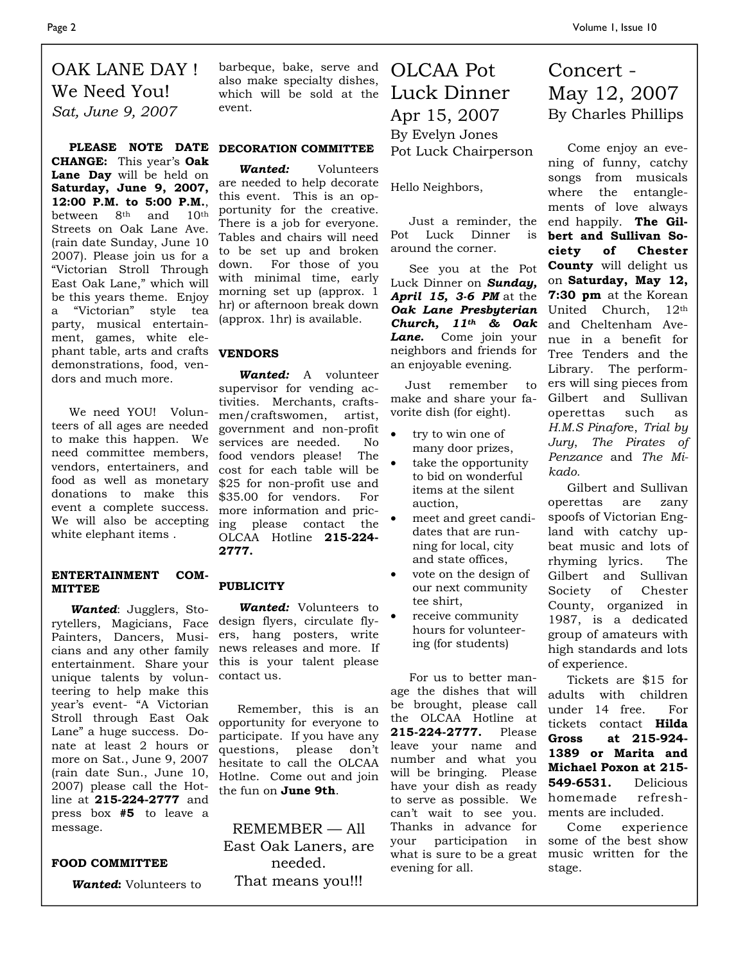### OAK LANE DAY ! We Need You! *Sat, June 9, 2007*

**CHANGE:** This year's **Oak Lane Day** will be held on **Saturday, June 9, 2007, 12:00 P.M. to 5:00 P.M.**, between 8th and 10th Streets on Oak Lane Ave. (rain date Sunday, June 10 2007). Please join us for a "Victorian Stroll Through East Oak Lane," which will be this years theme. Enjoy a "Victorian" style tea party, musical entertainment, games, white elephant table, arts and crafts **VENDORS** demonstrations, food, vendors and much more.

 We need YOU! Volunteers of all ages are needed to make this happen. We need committee members, vendors, entertainers, and food as well as monetary donations to make this event a complete success. We will also be accepting white elephant items .

#### **ENTERTAINMENT COM-MITTEE**

 *Wanted*: Jugglers, Storytellers, Magicians, Face Painters, Dancers, Musicians and any other family entertainment. Share your unique talents by volunteering to help make this year's event- "A Victorian Stroll through East Oak Lane" a huge success. Donate at least 2 hours or more on Sat., June 9, 2007 (rain date Sun., June 10, 2007) please call the Hotline at **215-224-2777** and press box **#5** to leave a message.

#### **FOOD COMMITTEE**

 *Wanted***:** Volunteers to

barbeque, bake, serve and also make specialty dishes, which will be sold at the Luck Dinner event.

#### **PLEASE NOTE DATE DECORATION COMMITTEE**

 *Wanted:* Volunteers are needed to help decorate this event. This is an opportunity for the creative. There is a job for everyone. Tables and chairs will need to be set up and broken down. For those of you with minimal time, early morning set up (approx. 1 hr) or afternoon break down (approx. 1hr) is available.

 *Wanted:* A volunteer supervisor for vending activities. Merchants, craftsmen/craftswomen, artist, government and non-profit services are needed. No food vendors please! The cost for each table will be \$25 for non-profit use and \$35.00 for vendors. For more information and pricing please contact the OLCAA Hotline **215-224- 2777.** 

#### **PUBLICITY**

 *Wanted:* Volunteers to design flyers, circulate flyers, hang posters, write news releases and more. If this is your talent please contact us.

 Remember, this is an opportunity for everyone to participate. If you have any questions, please don't hesitate to call the OLCAA Hotlne. Come out and join the fun on **June 9th**.

REMEMBER — All East Oak Laners, are needed. That means you!!!

OLCAA Pot Apr 15, 2007 By Evelyn Jones Pot Luck Chairperson

Hello Neighbors,

 Just a reminder, the Pot Luck Dinner is around the corner.

 See you at the Pot Luck Dinner on *Sunday, April 15, 3-6 PM* at the *Oak Lane Presbyterian Church, 11th & Oak Lane.* Come join your neighbors and friends for an enjoyable evening.

 Just remember to make and share your favorite dish (for eight).

- try to win one of many door prizes,
- take the opportunity to bid on wonderful items at the silent auction,
- meet and greet candidates that are running for local, city and state offices,
- vote on the design of our next community tee shirt,
- receive community hours for volunteering (for students)

 For us to better manage the dishes that will be brought, please call the OLCAA Hotline at **215-224-2777.** Please leave your name and number and what you will be bringing. Please have your dish as ready to serve as possible. We can't wait to see you. Thanks in advance for your participation in what is sure to be a great evening for all.

Concert - May 12, 2007 By Charles Phillips

 Come enjoy an evening of funny, catchy songs from musicals where the entanglements of love always end happily. **The Gilbert and Sullivan Society of Chester County** will delight us on **Saturday, May 12, 7:30 pm** at the Korean United Church, 12th and Cheltenham Avenue in a benefit for Tree Tenders and the Library. The performers will sing pieces from Gilbert and Sullivan operettas such as *H.M.S Pinafor*e, *Trial by Jury*, *The Pirates of Penzance* and *The Mikado.* 

 Gilbert and Sullivan operettas are zany spoofs of Victorian England with catchy upbeat music and lots of rhyming lyrics. The Gilbert and Sullivan Society of Chester County, organized in 1987, is a dedicated group of amateurs with high standards and lots of experience.

 Tickets are \$15 for adults with children under 14 free. For tickets contact **Hilda Gross at 215-924- 1389 or Marita and Michael Poxon at 215- 549-6531.** Delicious homemade refreshments are included.

 Come experience some of the best show music written for the stage.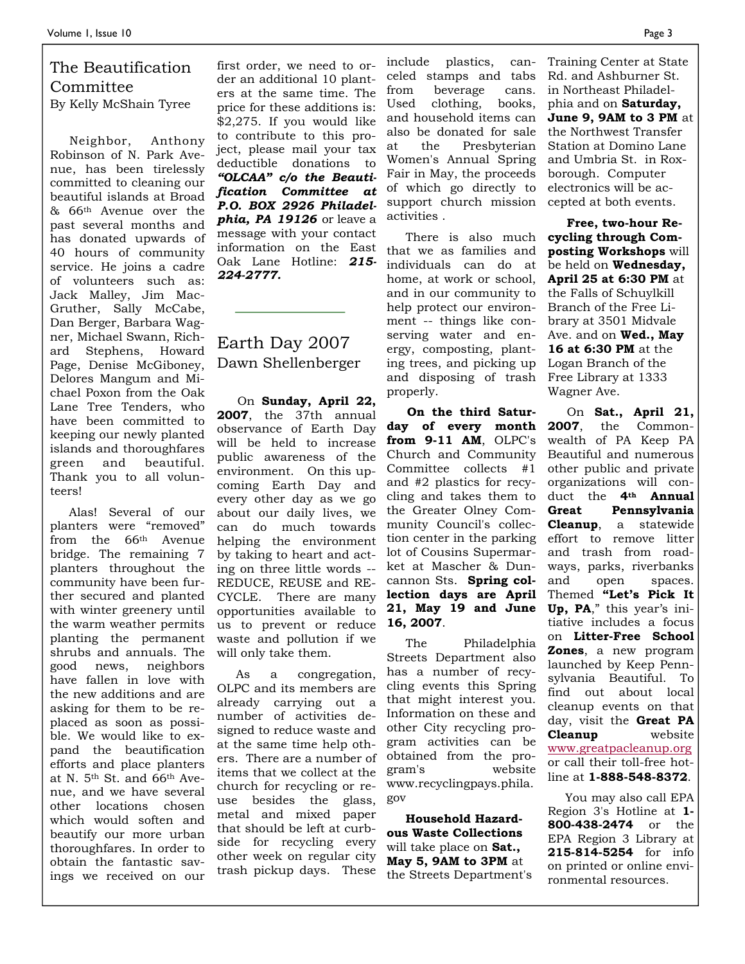### The Beautification Committee By Kelly McShain Tyree

 Neighbor, Anthony Robinson of N. Park Avenue, has been tirelessly committed to cleaning our beautiful islands at Broad & 66th Avenue over the past several months and has donated upwards of 40 hours of community service. He joins a cadre of volunteers such as: Jack Malley, Jim Mac-Gruther, Sally McCabe, Dan Berger, Barbara Wagner, Michael Swann, Richard Stephens, Howard Page, Denise McGiboney, Delores Mangum and Michael Poxon from the Oak Lane Tree Tenders, who have been committed to keeping our newly planted islands and thoroughfares green and beautiful. Thank you to all volunteers!

 Alas! Several of our planters were "removed" from the 66th Avenue bridge. The remaining 7 planters throughout the community have been further secured and planted with winter greenery until the warm weather permits planting the permanent shrubs and annuals. The good news, neighbors have fallen in love with the new additions and are asking for them to be replaced as soon as possible. We would like to expand the beautification efforts and place planters at N. 5th St. and 66th Avenue, and we have several other locations chosen which would soften and beautify our more urban thoroughfares. In order to obtain the fantastic savings we received on our

first order, we need to order an additional 10 planters at the same time. The price for these additions is: \$2,275. If you would like to contribute to this project, please mail your tax deductible donations to *"OLCAA" c/o the Beautification Committee at P.O. BOX 2926 Philadelphia, PA 19126* or leave a message with your contact information on the East Oak Lane Hotline: *215- 224-2777.* 

### Earth Day 2007 Dawn Shellenberger

On **Sunday, April 22, 2007**, the 37th annual observance of Earth Day will be held to increase public awareness of the environment. On this upcoming Earth Day and every other day as we go about our daily lives, we can do much towards helping the environment by taking to heart and acting on three little words -- REDUCE, REUSE and RE-CYCLE. There are many opportunities available to us to prevent or reduce waste and pollution if we will only take them.

 As a congregation, OLPC and its members are already carrying out a number of activities designed to reduce waste and at the same time help others. There are a number of items that we collect at the church for recycling or reuse besides the glass, metal and mixed paper that should be left at curbside for recycling every other week on regular city trash pickup days. These

include plastics, canceled stamps and tabs from beverage cans. Used clothing, books, and household items can also be donated for sale at the Presbyterian Women's Annual Spring Fair in May, the proceeds of which go directly to support church mission activities .

 There is also much that we as families and individuals can do at home, at work or school, and in our community to help protect our environment -- things like conserving water and energy, composting, planting trees, and picking up and disposing of trash properly.

 **On the third Saturday of every month from 9-11 AM**, OLPC's Church and Community Committee collects #1 and #2 plastics for recycling and takes them to the Greater Olney Community Council's collection center in the parking lot of Cousins Supermarket at Mascher & Duncannon Sts. **Spring collection days are April 21, May 19 and June 16, 2007**.

 The Philadelphia Streets Department also has a number of recycling events this Spring that might interest you. Information on these and other City recycling program activities can be obtained from the program's website www.recyclingpays.phila. gov

 **Household Hazardous Waste Collections**  will take place on **Sat., May 5, 9AM to 3PM** at the Streets Department's

Training Center at State Rd. and Ashburner St. in Northeast Philadelphia and on **Saturday, June 9, 9AM to 3 PM** at the Northwest Transfer Station at Domino Lane and Umbria St. in Roxborough. Computer electronics will be accepted at both events.

 **Free, two-hour Recycling through Composting Workshops** will be held on **Wednesday, April 25 at 6:30 PM** at the Falls of Schuylkill Branch of the Free Library at 3501 Midvale Ave. and on **Wed., May 16 at 6:30 PM** at the Logan Branch of the Free Library at 1333 Wagner Ave.

 On **Sat., April 21, 2007**, the Commonwealth of PA Keep PA Beautiful and numerous other public and private organizations will conduct the **4th Annual Great Pennsylvania Cleanup**, a statewide effort to remove litter and trash from roadways, parks, riverbanks and open spaces. Themed **"Let's Pick It Up, PA**," this year's initiative includes a focus on **Litter-Free School Zones**, a new program launched by Keep Pennsylvania Beautiful. To find out about local cleanup events on that day, visit the **Great PA Cleanup** website www.greatpacleanup.org or call their toll-free hotline at **1-888-548-8372**.

 You may also call EPA Region 3's Hotline at **1- 800-438-2474** or the EPA Region 3 Library at **215-814-5254** for info on printed or online environmental resources.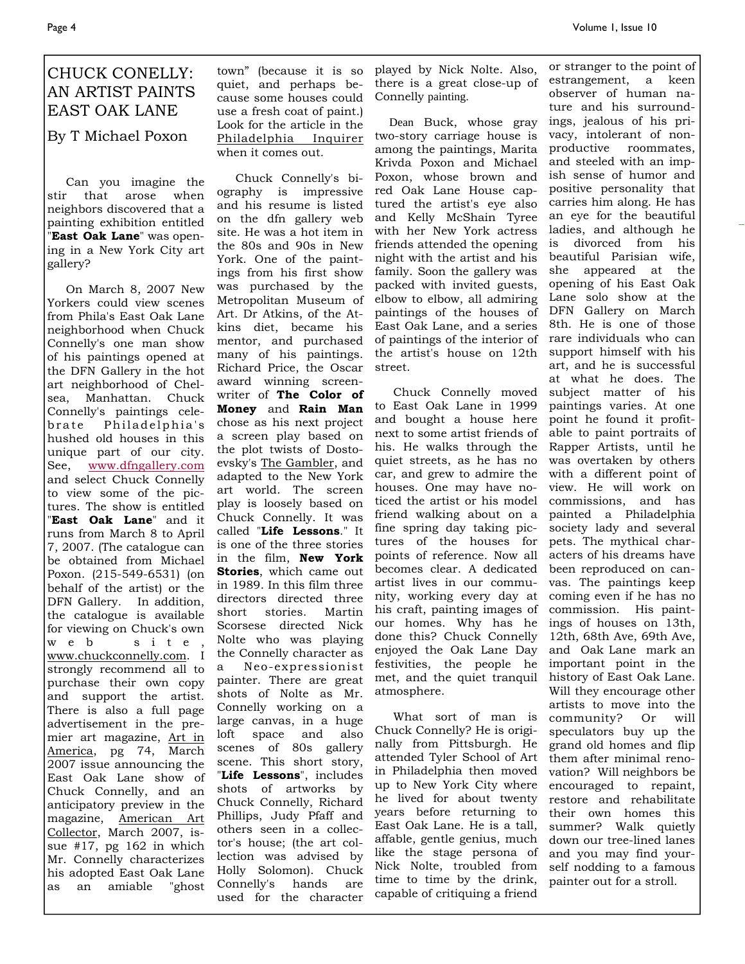### CHUCK CONELLY: AN ARTIST PAINTS EAST OAK LANE

By T Michael Poxon

 Can you imagine the stir that arose when neighbors discovered that a painting exhibition entitled "**East Oak Lane**" was opening in a New York City art gallery?

 On March 8, 2007 New Yorkers could view scenes from Phila's East Oak Lane neighborhood when Chuck Connelly's one man show of his paintings opened at the DFN Gallery in the hot art neighborhood of Chelsea, Manhattan. Chuck Connelly's paintings celebrate Philadelphia's hushed old houses in this unique part of our city. See, www.dfngallery.com and select Chuck Connelly to view some of the pictures. The show is entitled "**East Oak Lane**" and it runs from March 8 to April 7, 2007. (The catalogue can be obtained from Michael Poxon. (215-549-6531) (on behalf of the artist) or the DFN Gallery. In addition, the catalogue is available for viewing on Chuck's own w e b s i t e , www.chuckconnelly.com. I strongly recommend all to purchase their own copy and support the artist. There is also a full page advertisement in the premier art magazine, Art in America, pg 74, March 2007 issue announcing the East Oak Lane show of Chuck Connelly, and an anticipatory preview in the magazine, American Art Collector, March 2007, issue #17, pg 162 in which Mr. Connelly characterizes his adopted East Oak Lane as an amiable "ghost

town" (because it is so quiet, and perhaps because some houses could use a fresh coat of paint.) Look for the article in the Philadelphia Inquirer when it comes out.

 Chuck Connelly's biography is impressive and his resume is listed on the dfn gallery web site. He was a hot item in the 80s and 90s in New York. One of the paintings from his first show was purchased by the Metropolitan Museum of Art. Dr Atkins, of the Atkins diet, became his mentor, and purchased many of his paintings. Richard Price, the Oscar award winning screenwriter of **The Color of Money** and **Rain Man**  chose as his next project a screen play based on the plot twists of Dostoevsky's The Gambler, and adapted to the New York art world. The screen play is loosely based on Chuck Connelly. It was called "**Life Lessons**." It is one of the three stories in the film, **New York Stories**, which came out in 1989. In this film three directors directed three short stories. Martin Scorsese directed Nick Nolte who was playing the Connelly character as a Neo-expressionist painter. There are great shots of Nolte as Mr. Connelly working on a large canvas, in a huge loft space and also scenes of 80s gallery scene. This short story, "**Life Lessons**", includes shots of artworks by Chuck Connelly, Richard Phillips, Judy Pfaff and others seen in a collector's house; (the art collection was advised by Holly Solomon). Chuck Connelly's hands are used for the character

played by Nick Nolte. Also, there is a great close-up of Connelly painting.

 Dean Buck, whose gray two-story carriage house is among the paintings, Marita Krivda Poxon and Michael Poxon, whose brown and red Oak Lane House captured the artist's eye also and Kelly McShain Tyree with her New York actress friends attended the opening night with the artist and his family. Soon the gallery was packed with invited guests, elbow to elbow, all admiring paintings of the houses of East Oak Lane, and a series of paintings of the interior of rare individuals who can the artist's house on 12th street.

 Chuck Connelly moved to East Oak Lane in 1999 and bought a house here next to some artist friends of his. He walks through the quiet streets, as he has no car, and grew to admire the houses. One may have noticed the artist or his model friend walking about on a fine spring day taking pictures of the houses for points of reference. Now all becomes clear. A dedicated artist lives in our community, working every day at his craft, painting images of our homes. Why has he done this? Chuck Connelly enjoyed the Oak Lane Day festivities, the people he met, and the quiet tranquil atmosphere.

 What sort of man is Chuck Connelly? He is originally from Pittsburgh. He attended Tyler School of Art in Philadelphia then moved up to New York City where he lived for about twenty years before returning to East Oak Lane. He is a tall, affable, gentle genius, much like the stage persona of Nick Nolte, troubled from time to time by the drink, capable of critiquing a friend

or stranger to the point of estrangement, a keen observer of human nature and his surroundings, jealous of his privacy, intolerant of nonproductive roommates, and steeled with an impish sense of humor and positive personality that carries him along. He has an eye for the beautiful ladies, and although he is divorced from his beautiful Parisian wife, she appeared at the opening of his East Oak Lane solo show at the DFN Gallery on March 8th. He is one of those support himself with his art, and he is successful at what he does. The subject matter of his paintings varies. At one point he found it profitable to paint portraits of Rapper Artists, until he was overtaken by others with a different point of view. He will work on commissions, and has painted a Philadelphia society lady and several pets. The mythical characters of his dreams have been reproduced on canvas. The paintings keep coming even if he has no commission. His paintings of houses on 13th, 12th, 68th Ave, 69th Ave, and Oak Lane mark an important point in the history of East Oak Lane. Will they encourage other artists to move into the community? Or will speculators buy up the grand old homes and flip them after minimal renovation? Will neighbors be encouraged to repaint, restore and rehabilitate their own homes this summer? Walk quietly down our tree-lined lanes and you may find yourself nodding to a famous painter out for a stroll.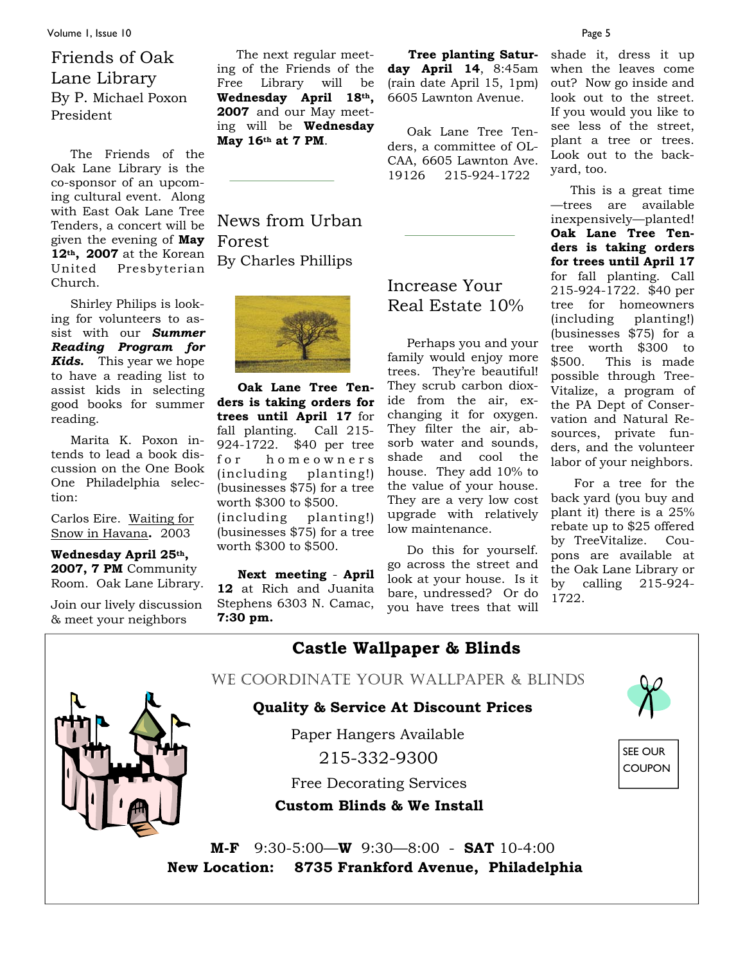Volume 1, Issue 10 Page 5

### Friends of Oak Lane Library By P. Michael Poxon President

 The Friends of the Oak Lane Library is the co-sponsor of an upcoming cultural event. Along with East Oak Lane Tree Tenders, a concert will be given the evening of **May 12th, 2007** at the Korean United Presbyterian Church.

 Shirley Philips is looking for volunteers to assist with our *Summer Reading Program for Kids.* This year we hope to have a reading list to assist kids in selecting good books for summer reading.

 Marita K. Poxon intends to lead a book discussion on the One Book One Philadelphia selection:

Carlos Eire. Waiting for Snow in Havana**.** 2003

**Wednesday April 25th,**  2007, 7 PM Community Room. Oak Lane Library.

Join our lively discussion & meet your neighbors

 The next regular meeting of the Friends of the Free Library will be **Wednesday April 18th, 2007** and our May meeting will be **Wednesday May 16th at 7 PM**.

News from Urban Forest By Charles Phillips



 **Oak Lane Tree Tenders is taking orders for trees until April 17** for fall planting. Call 215- 924-1722. \$40 per tree for homeowners (including planting!) (businesses \$75) for a tree worth \$300 to \$500. (including planting!)

(businesses \$75) for a tree worth \$300 to \$500. ľ

 **Next meeting** - **April 12** at Rich and Juanita Stephens 6303 N. Camac, **7:30 pm.**

 **Tree planting Saturday April 14**, 8:45am (rain date April 15, 1pm) 6605 Lawnton Avenue.

 Oak Lane Tree Tenders, a committee of OL-CAA, 6605 Lawnton Ave. 19126 215-924-1722

### Increase Your Real Estate 10%

 Perhaps you and your family would enjoy more trees. They're beautiful! They scrub carbon dioxide from the air, exchanging it for oxygen. They filter the air, absorb water and sounds, shade and cool the house. They add 10% to the value of your house. They are a very low cost upgrade with relatively low maintenance.

 Do this for yourself. go across the street and look at your house. Is it bare, undressed? Or do you have trees that will

shade it, dress it up when the leaves come out? Now go inside and look out to the street. If you would you like to see less of the street, plant a tree or trees. Look out to the backyard, too.

 This is a great time —trees are available inexpensively—planted! **Oak Lane Tree Tenders is taking orders for trees until April 17** for fall planting. Call 215-924-1722. \$40 per tree for homeowners (including planting!) (businesses \$75) for a tree worth \$300 to<br>\$500. This is made This is made possible through Tree-Vitalize, a program of the PA Dept of Conservation and Natural Resources, private funders, and the volunteer labor of your neighbors.

 For a tree for the back yard (you buy and plant it) there is a 25% rebate up to \$25 offered by TreeVitalize. Coupons are available at the Oak Lane Library or by calling 215-924- 1722.

| <b>Castle Wallpaper &amp; Blinds</b>              |                                 |
|---------------------------------------------------|---------------------------------|
| WE COORDINATE YOUR WALLPAPER & BLINDS             |                                 |
| <b>Quality &amp; Service At Discount Prices</b>   |                                 |
| Paper Hangers Available                           |                                 |
| 215-332-9300                                      | <b>SEE OUR</b><br><b>COUPON</b> |
| <b>Free Decorating Services</b>                   |                                 |
| <b>Custom Blinds &amp; We Install</b>             |                                 |
| $9:30-5:00$ – W $9:30-8:00$ – SAT 10-4:00<br>M-F  |                                 |
| New Location: 8735 Frankford Avenue, Philadelphia |                                 |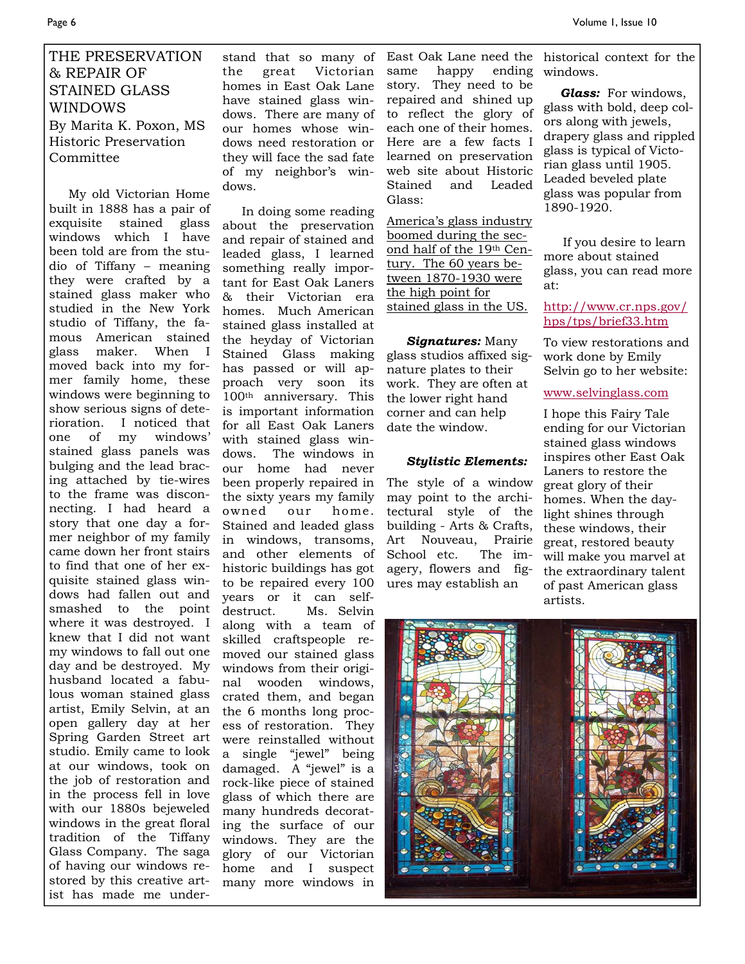### THE PRESERVATION & REPAIR OF STAINED GLASS WINDOWS By Marita K. Poxon, MS Historic Preservation Committee

 My old Victorian Home built in 1888 has a pair of exquisite stained glass windows which I have been told are from the studio of Tiffany – meaning they were crafted by a stained glass maker who studied in the New York studio of Tiffany, the famous American stained glass maker. When I moved back into my former family home, these windows were beginning to show serious signs of deterioration. I noticed that one of my windows' stained glass panels was bulging and the lead bracing attached by tie-wires to the frame was disconnecting. I had heard a story that one day a former neighbor of my family came down her front stairs to find that one of her exquisite stained glass windows had fallen out and smashed to the point where it was destroyed. I knew that I did not want my windows to fall out one day and be destroyed. My husband located a fabulous woman stained glass artist, Emily Selvin, at an open gallery day at her Spring Garden Street art studio. Emily came to look at our windows, took on the job of restoration and in the process fell in love with our 1880s bejeweled windows in the great floral tradition of the Tiffany Glass Company. The saga of having our windows restored by this creative artist has made me under-

stand that so many of the great Victorian homes in East Oak Lane have stained glass windows. There are many of our homes whose windows need restoration or they will face the sad fate of my neighbor's windows.

 In doing some reading about the preservation and repair of stained and leaded glass, I learned something really important for East Oak Laners & their Victorian era homes. Much American stained glass installed at the heyday of Victorian Stained Glass making has passed or will approach very soon its 100th anniversary. This is important information for all East Oak Laners with stained glass windows. The windows in our home had never been properly repaired in the sixty years my family owned our home. Stained and leaded glass in windows, transoms, and other elements of historic buildings has got to be repaired every 100 years or it can selfdestruct. Ms. Selvin along with a team of skilled craftspeople removed our stained glass windows from their original wooden windows, crated them, and began the 6 months long process of restoration. They were reinstalled without a single "jewel" being damaged. A "jewel" is a rock-like piece of stained glass of which there are many hundreds decorating the surface of our windows. They are the glory of our Victorian home and I suspect many more windows in

same happy ending story. They need to be repaired and shined up to reflect the glory of each one of their homes. Here are a few facts I learned on preservation web site about Historic Stained and Leaded Glass:

America's glass industry boomed during the second half of the 19th Century. The 60 years between 1870-1930 were the high point for stained glass in the US.

#### *Signatures:* Many glass studios affixed signature plates to their work. They are often at the lower right hand corner and can help date the window.

#### *Stylistic Elements:*

The style of a window may point to the architectural style of the building - Arts & Crafts, Art Nouveau, Prairie School etc. The imagery, flowers and figures may establish an

East Oak Lane need the historical context for the windows.

> *Glass:* For windows, glass with bold, deep colors along with jewels, drapery glass and rippled glass is typical of Victorian glass until 1905. Leaded beveled plate glass was popular from 1890-1920.

 If you desire to learn more about stained glass, you can read more at:

http://www.cr.nps.gov/ hps/tps/brief33.htm

To view restorations and work done by Emily Selvin go to her website:

www.selvinglass.com

I hope this Fairy Tale ending for our Victorian stained glass windows inspires other East Oak Laners to restore the great glory of their homes. When the daylight shines through these windows, their great, restored beauty will make you marvel at the extraordinary talent of past American glass artists.

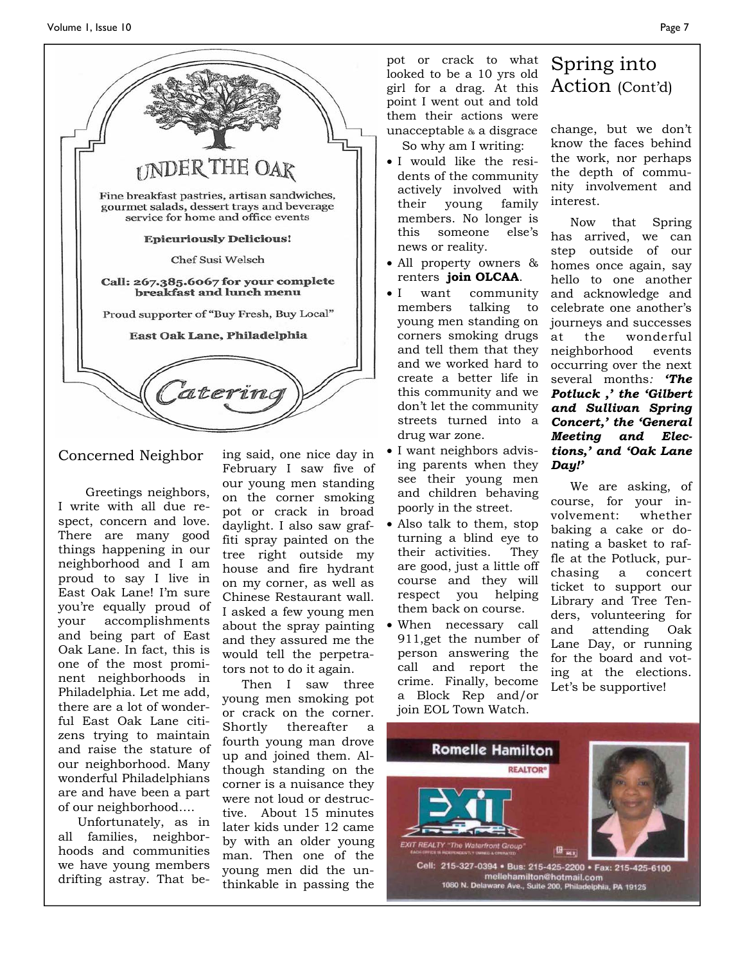

#### Concerned Neighbor

 Greetings neighbors, I write with all due respect, concern and love. There are many good things happening in our neighborhood and I am proud to say I live in East Oak Lane! I'm sure you're equally proud of your accomplishments and being part of East Oak Lane. In fact, this is one of the most prominent neighborhoods in Philadelphia. Let me add, there are a lot of wonderful East Oak Lane citizens trying to maintain and raise the stature of our neighborhood. Many wonderful Philadelphians are and have been a part of our neighborhood….

 Unfortunately, as in all families, neighborhoods and communities we have young members drifting astray. That being said, one nice day in February I saw five of our young men standing on the corner smoking pot or crack in broad daylight. I also saw graffiti spray painted on the tree right outside my house and fire hydrant on my corner, as well as Chinese Restaurant wall. I asked a few young men about the spray painting and they assured me the would tell the perpetrators not to do it again.

 Then I saw three young men smoking pot or crack on the corner. Shortly thereafter a fourth young man drove up and joined them. Although standing on the corner is a nuisance they were not loud or destructive. About 15 minutes later kids under 12 came by with an older young man. Then one of the young men did the unthinkable in passing the pot or crack to what looked to be a 10 yrs old girl for a drag. At this point I went out and told them their actions were unacceptable & a disgrace

So why am I writing:

- I would like the residents of the community actively involved with their young family members. No longer is this someone else's news or reality.
- All property owners & renters **join OLCAA**.
- I want community members talking to young men standing on corners smoking drugs and tell them that they and we worked hard to create a better life in this community and we don't let the community streets turned into a drug war zone.
- I want neighbors advising parents when they see their young men and children behaving poorly in the street.
- Also talk to them, stop turning a blind eye to their activities. They are good, just a little off course and they will respect you helping them back on course.
- When necessary call 911,get the number of person answering the call and report the crime. Finally, become a Block Rep and/or join EOL Town Watch.

### Spring into Action (Cont'd)

change, but we don't know the faces behind the work, nor perhaps the depth of community involvement and interest.

 Now that Spring has arrived, we can step outside of our homes once again, say hello to one another and acknowledge and celebrate one another's journeys and successes at the wonderful neighborhood events occurring over the next several months*: 'The Potluck ,' the 'Gilbert and Sullivan Spring Concert,' the 'General Meeting and Elections,' and 'Oak Lane Day!'* 

 We are asking, of course, for your involvement: whether baking a cake or donating a basket to raffle at the Potluck, purchasing a concert ticket to support our Library and Tree Tenders, volunteering for and attending Oak Lane Day, or running for the board and voting at the elections. Let's be supportive!



Cell: 215-327-0394 · Bus: 215-425-2200 · Fax: 215-425-6100 mellehamilton@hotmail.com<br>1080 N. Delaware Ave., Suite 200, Philadelphia, PA 19125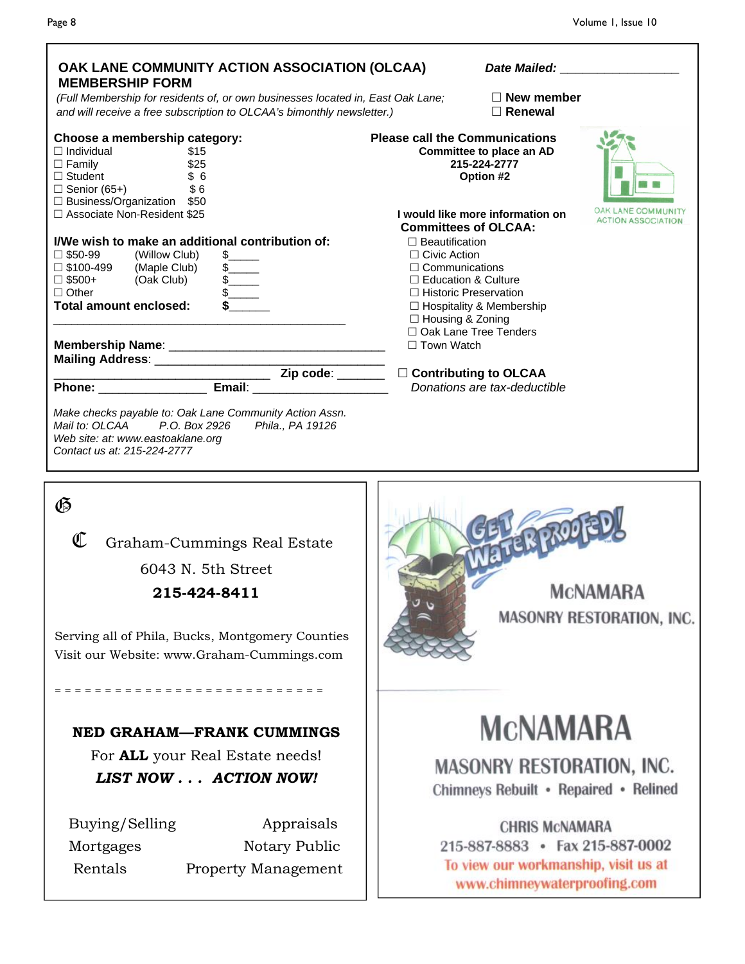| OAK LANE COMMUNITY ACTION ASSOCIATION (OLCAA)<br><b>MEMBERSHIP FORM</b>                                                                                                                                                                              | Date Mailed: National Property of the Mail of the Mail of the Mail of the Mail of the Mail of the Mail of the M                                                                                                                              |                           |
|------------------------------------------------------------------------------------------------------------------------------------------------------------------------------------------------------------------------------------------------------|----------------------------------------------------------------------------------------------------------------------------------------------------------------------------------------------------------------------------------------------|---------------------------|
| (Full Membership for residents of, or own businesses located in, East Oak Lane;<br>and will receive a free subscription to OLCAA's bimonthly newsletter.)                                                                                            | $\Box$ New member<br>$\Box$ Renewal                                                                                                                                                                                                          |                           |
| Choose a membership category:<br>$\Box$ Individual<br>\$15<br>\$25<br>$\Box$ Family<br>$\Box$ Student<br>\$6<br>$\sqrt{6}$<br>$\Box$ Senior (65+)<br>$\Box$ Business/Organization \$50<br>□ Associate Non-Resident \$25                              | <b>Please call the Communications</b><br>Committee to place an AD<br>215-224-2777<br>Option #2<br>LANE COMM<br>I would like more information on                                                                                              |                           |
| I/We wish to make an additional contribution of:<br>$\square$ \$50-99<br>(Willow Club)<br>(Maple Club)<br>□ \$100-499<br>$\frac{1}{2}$<br>$\frac{1}{2}$<br>$\square$ \$500+<br>(Oak Club)<br>$\frac{1}{2}$<br>$\Box$ Other<br>Total amount enclosed: | <b>Committees of OLCAA:</b><br>$\Box$ Beautification<br>$\Box$ Civic Action<br>$\Box$ Communications<br>□ Education & Culture<br>□ Historic Preservation<br>$\Box$ Hospitality & Membership<br>□ Housing & Zoning<br>□ Oak Lane Tree Tenders | <b>ACTION ASSOCIATION</b> |
|                                                                                                                                                                                                                                                      | □ Town Watch                                                                                                                                                                                                                                 |                           |
| <u>Divided and Solid Contributing</u> to OLCAA<br><b>Phone:</b> Email: Email: Email: Donations are tax-deductible                                                                                                                                    |                                                                                                                                                                                                                                              |                           |
| Make checks payable to: Oak Lane Community Action Assn.<br>Mail to: OLCAA P.O. Box 2926<br>Phila., PA 19126<br>Web site: at: www.eastoaklane.org<br>Contact us at: 215-224-2777                                                                      |                                                                                                                                                                                                                                              |                           |
| $\mathfrak{G}$<br>C<br>Graham-Cummings Real Estate<br>6043 N. 5th Street<br>215-424-8411<br>Serving all of Phila, Bucks, Montgomery Counties<br>Visit our Website: www.Graham-Cummings.com                                                           | MCNAMARA<br>MASONRY RESTORATION, INC.                                                                                                                                                                                                        |                           |
| =========================<br><b>NED GRAHAM-FRANK CUMMINGS</b>                                                                                                                                                                                        | <b>MCNAMARA</b>                                                                                                                                                                                                                              |                           |
| For <b>ALL</b> your Real Estate needs!<br>LIST NOW ACTION NOW!                                                                                                                                                                                       | <b>MASONRY RESTORATION, INC.</b><br>Chimneys Rebuilt • Repaired • Relined                                                                                                                                                                    |                           |
| Appraisals<br>Buying/Selling<br>Notary Public<br>Mortgages                                                                                                                                                                                           | <b>CHRIS MCNAMARA</b><br>215-887-8883 • Fax 215-887-0002<br>To view our workmanship, visit us at                                                                                                                                             |                           |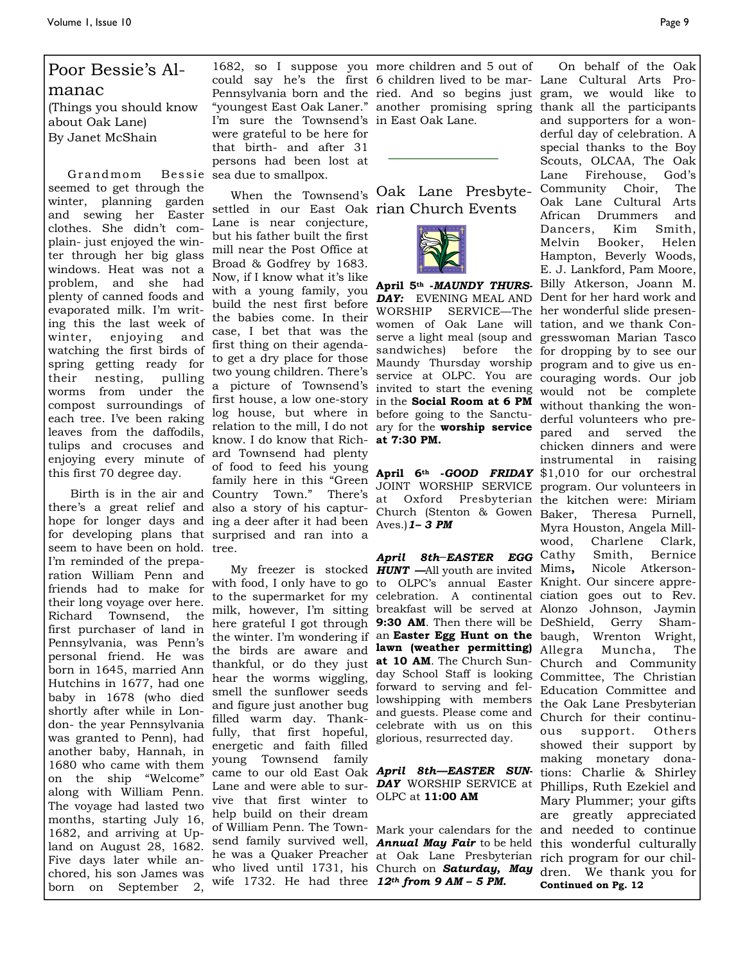### Poor Bessie's Al-

manac (Things you should know about Oak Lane) By Janet McShain

Grandmom seemed to get through the winter, planning garden and sewing her Easter clothes. She didn't complain- just enjoyed the winter through her big glass windows. Heat was not a problem, and she had plenty of canned foods and evaporated milk. I'm writing this the last week of winter, enjoying and watching the first birds of spring getting ready for their nesting, pulling worms from under the compost surroundings of each tree. I've been raking leaves from the daffodils, tulips and crocuses and enjoying every minute of this first 70 degree day.

seem to have been on hold. tree. I'm reminded of the preparation William Penn and friends had to make for their long voyage over here. Richard Townsend, the first purchaser of land in Pennsylvania, was Penn's personal friend. He was born in 1645, married Ann Hutchins in 1677, had one baby in 1678 (who died shortly after while in London- the year Pennsylvania was granted to Penn), had another baby, Hannah, in 1680 who came with them on the ship "Welcome" along with William Penn. The voyage had lasted two months, starting July 16, 1682, and arriving at Upland on August 28, 1682. Five days later while anchored, his son James was born on September 2,

I'm sure the Townsend's in East Oak Lane. were grateful to be here for that birth- and after 31 persons had been lost at Bessie sea due to smallpox.

Birth is in the air and Country Town." There's at Oxford Presbyterian hope for longer days and ing a deer after it had been  $Aves$ . **1-3 PM** for developing plans that surprised and ran into a settled in our East Oak rian Church Events Lane is near conjecture, but his father built the first mill near the Post Office at Broad & Godfrey by 1683. Now, if I know what it's like with a young family, you build the nest first before the babies come. In their case, I bet that was the first thing on their agendato get a dry place for those two young children. There's log house, but where in before going to the Sancturelation to the mill, I do not ary for the **worship service**  know. I do know that Rich-**at 7:30 PM.** ard Townsend had plenty of food to feed his young **April 6th -***GOOD FRIDAY*  family here in this "Green

> My freezer is stocked **HUNT** —All youth are invited the birds are aware and **lawn (weather permitting)**  thankful, or do they just **at 10 AM**. The Church Sunhear the worms wiggling, smell the sunflower seeds and figure just another bug filled warm day. Thankfully, that first hopeful, energetic and faith filled young Townsend family vive that first winter to OLPC at **11:00 AM**  help build on their dream send family survived well, *Annual May Fair* to be held he was a Quaker Preacher at Oak Lane Presbyterian who lived until 1731, his Church on **Saturday, May** dren. We thank you for wife 1732. He had three *12th from 9 AM – 5 PM.*

> 1682, so I suppose you more children and 5 out of could say he's the first 6 children lived to be mar-Lane Cultural Arts Pro-

When the Townsend's Oak Lane Presbyte-



sandwiches) before

*April 8th***—***EASTER EGG*  forward to serving and fellowshipping with members and guests. Please come and celebrate with us on this glorious, resurrected day.

there's a great relief and also a story of his captur-Church (Stenton & Gowen Baker, Theresa Purnell, Pennsylvania born and the ried. And so begins just gram, we would like to "youngest East Oak Laner." another promising spring thank all the participants a picture of Townsend's invited to start the evening would not be complete first house, a low one-story in the **Social Room at 6 PM** without thanking the wonwith food, I only have to go to OLPC's annual Easter Knight. Our sincere appreto the supermarket for my celebration. A continental ciation goes out to Rev. milk, however, I'm sitting breakfast will be served at Alonzo Johnson, Jaymin here grateful I got through **9:30 AM**. Then there will be DeShield, Gerry Shamthe winter. I'm wondering if an **Easter Egg Hunt on the**  baugh, Wrenton Wright, came to our old East Oak *April 8th—EASTER SUN-*tions: Charlie & Shirley Lane and were able to sur-*DAY* WORSHIP SERVICE at Phillips, Ruth Ezekiel and of William Penn. The Town-Mark your calendars for the and needed to continue **April 5th -***MAUNDY THURS-*Billy Atkerson, Joann M. DAY: EVENING MEAL AND Dent for her hard work and WORSHIP SERVICE—The her wonderful slide presenwomen of Oak Lane will tation, and we thank Conserve a light meal (soup and gresswoman Marian Tasco Maundy Thursday worship program and to give us enservice at OLPC. You are couraging words. Our job JOINT WORSHIP SERVICE program. Our volunteers in day School Staff is looking Committee, The Christian On behalf of the Oak and supporters for a wonderful day of celebration. A special thanks to the Boy Scouts, OLCAA, The Oak Lane Firehouse, God's Community Choir, The Oak Lane Cultural Arts African Drummers and Dancers, Kim Smith, Melvin Booker, Helen Hampton, Beverly Woods, E. J. Lankford, Pam Moore, the for dropping by to see our derful volunteers who prepared and served the chicken dinners and were instrumental in raising \$1,010 for our orchestral program. Our volunteers in the kitchen were: Miriam Myra Houston, Angela Millwood, Charlene Clark, Smith, Bernice Nicole Atkerson-Allegra Muncha, The Church and Community Education Committee and the Oak Lane Presbyterian Church for their continuous support. Others showed their support by making monetary dona-Mary Plummer; your gifts are greatly appreciated this wonderful culturally rich program for our chil-

**Continued on Pg. 12**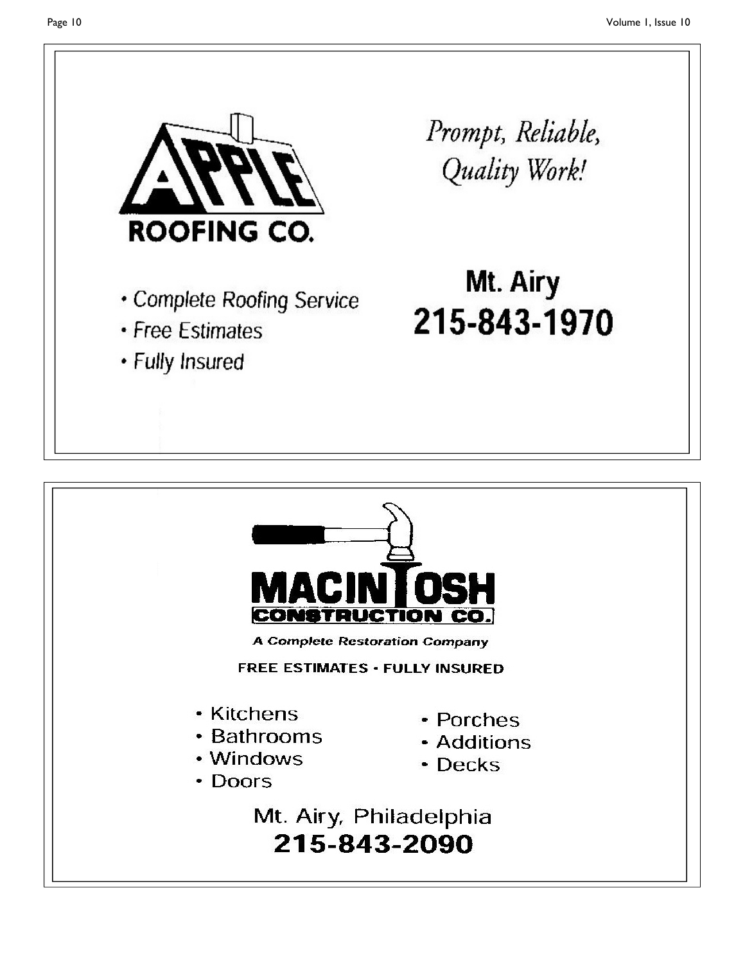



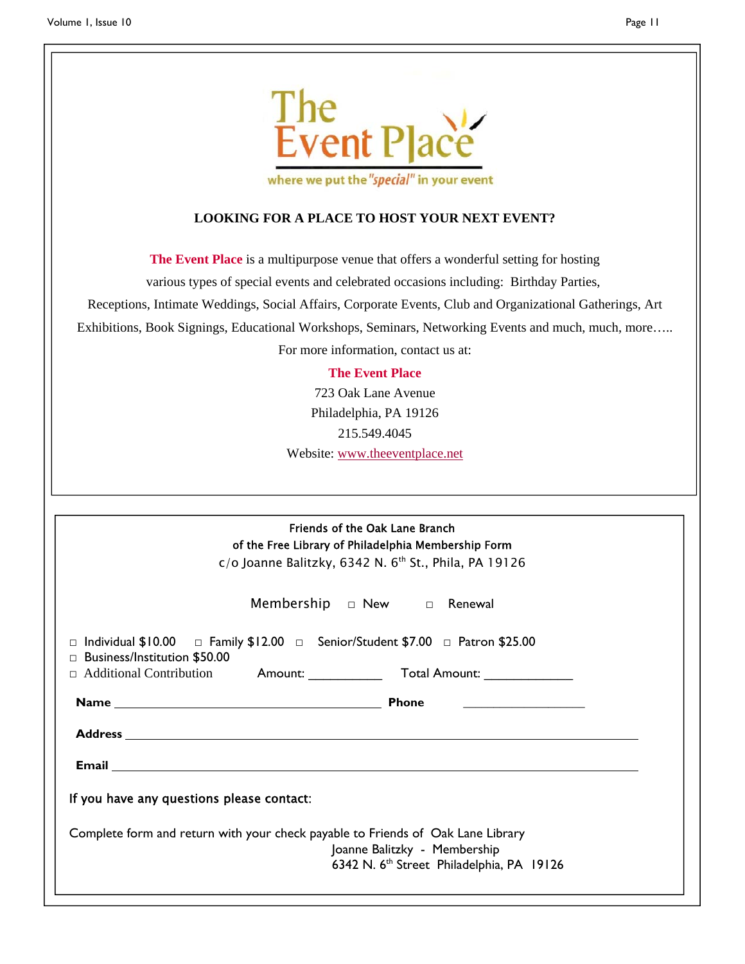

where we put the "special" in your event

#### **LOOKING FOR A PLACE TO HOST YOUR NEXT EVENT?**

**The Event Place** is a multipurpose venue that offers a wonderful setting for hosting

various types of special events and celebrated occasions including: Birthday Parties,

Receptions, Intimate Weddings, Social Affairs, Corporate Events, Club and Organizational Gatherings, Art

Exhibitions, Book Signings, Educational Workshops, Seminars, Networking Events and much, much, more…..

For more information, contact us at:

#### **The Event Place**

723 Oak Lane Avenue Philadelphia, PA 19126 215.549.4045 Website: www.theeventplace.net

| Friends of the Oak Lane Branch                                                                                                            |  |  |  |  |
|-------------------------------------------------------------------------------------------------------------------------------------------|--|--|--|--|
| of the Free Library of Philadelphia Membership Form                                                                                       |  |  |  |  |
| $c$ /o Joanne Balitzky, 6342 N. 6 <sup>th</sup> St., Phila, PA 19126                                                                      |  |  |  |  |
| Membership $\Box$ New $\Box$ Renewal                                                                                                      |  |  |  |  |
| $\Box$ Individual \$10.00 $\Box$ Family \$12.00 $\Box$ Senior/Student \$7.00 $\Box$ Patron \$25.00<br>$\Box$ Business/Institution \$50.00 |  |  |  |  |
| □ Additional Contribution Amount: Total Amount: ________________________________                                                          |  |  |  |  |
|                                                                                                                                           |  |  |  |  |
|                                                                                                                                           |  |  |  |  |
|                                                                                                                                           |  |  |  |  |
| If you have any questions please contact:                                                                                                 |  |  |  |  |
| Complete form and return with your check payable to Friends of Oak Lane Library<br>Joanne Balitzky - Membership                           |  |  |  |  |
| 6342 N. 6 <sup>th</sup> Street Philadelphia, PA 19126                                                                                     |  |  |  |  |
|                                                                                                                                           |  |  |  |  |